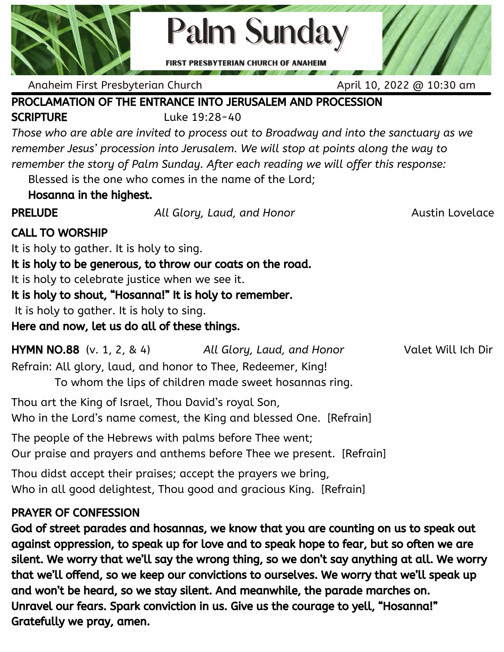

**Palm Sunday** 

**FIRST PRESBYTERIAN CHURCH OF ANAHEIM** 

Anaheim First Presbyterian Church April 10, 2022 @ 10:30 am

# PROCLAMATION OF THE ENTRANCE INTO JERUSALEM AND PROCESSION

SCRIPTURE Luke 19:28-40

*Those who are able are invited to process out to Broadway and into the sanctuary as we remember Jesus' procession into Jerusalem. We will stop at points along the way to remember the story of Palm Sunday. After each reading we will offer this response:*

Blessed is the one who comes in the name of the Lord;

Hosanna in the highest.

PRELUDE *All Glory, Laud, and Honor* Austin Lovelace

#### CALL TO WORSHIP

It is holy to gather. It is holy to sing.

It is holy to be generous, to throw our coats on the road.

It is holy to celebrate justice when we see it.

It is holy to shout, "Hosanna!" It is holy to remember.

It is holy to gather. It is holy to sing.

Here and now, let us do all of these things.

| <b>HYMN NO.88</b> $(v, 1, 2, 8, 4)$                          | All Glory, Laud, and Honor                             | Valet Will Ich Dir |
|--------------------------------------------------------------|--------------------------------------------------------|--------------------|
| Refrain: All glory, laud, and honor to Thee, Redeemer, King! |                                                        |                    |
|                                                              | To whom the lips of children made sweet hosannas ring. |                    |

Thou art the King of Israel, Thou David's royal Son,

Who in the Lord's name comest, the King and blessed One. [Refrain]

The people of the Hebrews with palms before Thee went; Our praise and prayers and anthems before Thee we present. [Refrain]

Thou didst accept their praises; accept the prayers we bring, Who in all good delightest, Thou good and gracious King. [Refrain]

## PRAYER OF CONFESSION

God of street parades and hosannas, we know that you are counting on us to speak out against oppression, to speak up for love and to speak hope to fear, but so often we are silent. We worry that we'll say the wrong thing, so we don't say anything at all. We worry that we'll offend, so we keep our convictions to ourselves. We worry that we'll speak up and won't be heard, so we stay silent. And meanwhile, the parade marches on. Unravel our fears. Spark conviction in us. Give us the courage to yell, "Hosanna!" Gratefully we pray, amen.